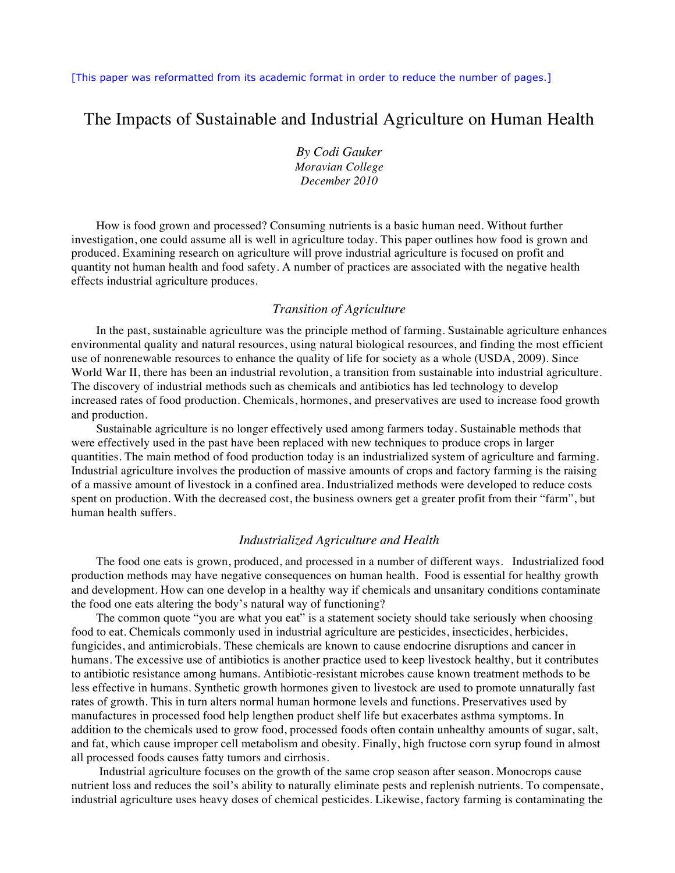[This paper was reformatted from its academic format in order to reduce the number of pages.]

# The Impacts of Sustainable and Industrial Agriculture on Human Health

*By Codi Gauker Moravian College December 2010*

How is food grown and processed? Consuming nutrients is a basic human need. Without further investigation, one could assume all is well in agriculture today. This paper outlines how food is grown and produced. Examining research on agriculture will prove industrial agriculture is focused on profit and quantity not human health and food safety. A number of practices are associated with the negative health effects industrial agriculture produces.

# *Transition of Agriculture*

In the past, sustainable agriculture was the principle method of farming. Sustainable agriculture enhances environmental quality and natural resources, using natural biological resources, and finding the most efficient use of nonrenewable resources to enhance the quality of life for society as a whole (USDA, 2009). Since World War II, there has been an industrial revolution, a transition from sustainable into industrial agriculture. The discovery of industrial methods such as chemicals and antibiotics has led technology to develop increased rates of food production. Chemicals, hormones, and preservatives are used to increase food growth and production.

Sustainable agriculture is no longer effectively used among farmers today. Sustainable methods that were effectively used in the past have been replaced with new techniques to produce crops in larger quantities. The main method of food production today is an industrialized system of agriculture and farming. Industrial agriculture involves the production of massive amounts of crops and factory farming is the raising of a massive amount of livestock in a confined area. Industrialized methods were developed to reduce costs spent on production. With the decreased cost, the business owners get a greater profit from their "farm", but human health suffers.

#### *Industrialized Agriculture and Health*

The food one eats is grown, produced, and processed in a number of different ways. Industrialized food production methods may have negative consequences on human health. Food is essential for healthy growth and development. How can one develop in a healthy way if chemicals and unsanitary conditions contaminate the food one eats altering the body's natural way of functioning?

The common quote "you are what you eat" is a statement society should take seriously when choosing food to eat. Chemicals commonly used in industrial agriculture are pesticides, insecticides, herbicides, fungicides, and antimicrobials. These chemicals are known to cause endocrine disruptions and cancer in humans. The excessive use of antibiotics is another practice used to keep livestock healthy, but it contributes to antibiotic resistance among humans. Antibiotic-resistant microbes cause known treatment methods to be less effective in humans. Synthetic growth hormones given to livestock are used to promote unnaturally fast rates of growth. This in turn alters normal human hormone levels and functions. Preservatives used by manufactures in processed food help lengthen product shelf life but exacerbates asthma symptoms. In addition to the chemicals used to grow food, processed foods often contain unhealthy amounts of sugar, salt, and fat, which cause improper cell metabolism and obesity. Finally, high fructose corn syrup found in almost all processed foods causes fatty tumors and cirrhosis.

Industrial agriculture focuses on the growth of the same crop season after season. Monocrops cause nutrient loss and reduces the soil's ability to naturally eliminate pests and replenish nutrients. To compensate, industrial agriculture uses heavy doses of chemical pesticides. Likewise, factory farming is contaminating the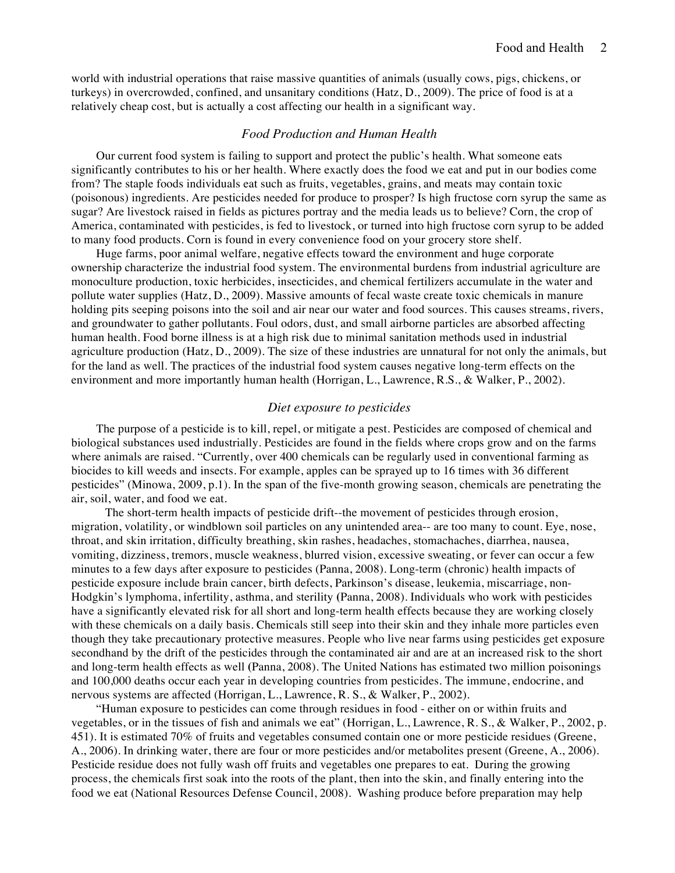world with industrial operations that raise massive quantities of animals (usually cows, pigs, chickens, or turkeys) in overcrowded, confined, and unsanitary conditions (Hatz, D., 2009). The price of food is at a relatively cheap cost, but is actually a cost affecting our health in a significant way.

## *Food Production and Human Health*

Our current food system is failing to support and protect the public's health. What someone eats significantly contributes to his or her health. Where exactly does the food we eat and put in our bodies come from? The staple foods individuals eat such as fruits, vegetables, grains, and meats may contain toxic (poisonous) ingredients. Are pesticides needed for produce to prosper? Is high fructose corn syrup the same as sugar? Are livestock raised in fields as pictures portray and the media leads us to believe? Corn, the crop of America, contaminated with pesticides, is fed to livestock, or turned into high fructose corn syrup to be added to many food products. Corn is found in every convenience food on your grocery store shelf.

Huge farms, poor animal welfare, negative effects toward the environment and huge corporate ownership characterize the industrial food system. The environmental burdens from industrial agriculture are monoculture production, toxic herbicides, insecticides, and chemical fertilizers accumulate in the water and pollute water supplies (Hatz, D., 2009). Massive amounts of fecal waste create toxic chemicals in manure holding pits seeping poisons into the soil and air near our water and food sources. This causes streams, rivers, and groundwater to gather pollutants. Foul odors, dust, and small airborne particles are absorbed affecting human health. Food borne illness is at a high risk due to minimal sanitation methods used in industrial agriculture production (Hatz, D., 2009). The size of these industries are unnatural for not only the animals, but for the land as well. The practices of the industrial food system causes negative long-term effects on the environment and more importantly human health (Horrigan, L., Lawrence, R.S., & Walker, P., 2002).

## *Diet exposure to pesticides*

The purpose of a pesticide is to kill, repel, or mitigate a pest. Pesticides are composed of chemical and biological substances used industrially. Pesticides are found in the fields where crops grow and on the farms where animals are raised. "Currently, over 400 chemicals can be regularly used in conventional farming as biocides to kill weeds and insects. For example, apples can be sprayed up to 16 times with 36 different pesticides" (Minowa, 2009, p.1). In the span of the five-month growing season, chemicals are penetrating the air, soil, water, and food we eat.

 The short-term health impacts of pesticide drift--the movement of pesticides through erosion, migration, volatility, or windblown soil particles on any unintended area-- are too many to count. Eye, nose, throat, and skin irritation, difficulty breathing, skin rashes, headaches, stomachaches, diarrhea, nausea, vomiting, dizziness, tremors, muscle weakness, blurred vision, excessive sweating, or fever can occur a few minutes to a few days after exposure to pesticides (Panna, 2008). Long-term (chronic) health impacts of pesticide exposure include brain cancer, birth defects, Parkinson's disease, leukemia, miscarriage, non-Hodgkin's lymphoma, infertility, asthma, and sterility **(**Panna, 2008). Individuals who work with pesticides have a significantly elevated risk for all short and long-term health effects because they are working closely with these chemicals on a daily basis. Chemicals still seep into their skin and they inhale more particles even though they take precautionary protective measures. People who live near farms using pesticides get exposure secondhand by the drift of the pesticides through the contaminated air and are at an increased risk to the short and long-term health effects as well **(**Panna, 2008). The United Nations has estimated two million poisonings and 100,000 deaths occur each year in developing countries from pesticides. The immune, endocrine, and nervous systems are affected (Horrigan, L., Lawrence, R. S., & Walker, P., 2002).

"Human exposure to pesticides can come through residues in food - either on or within fruits and vegetables, or in the tissues of fish and animals we eat" (Horrigan, L., Lawrence, R. S., & Walker, P., 2002, p. 451). It is estimated 70% of fruits and vegetables consumed contain one or more pesticide residues (Greene, A., 2006). In drinking water, there are four or more pesticides and/or metabolites present (Greene, A., 2006). Pesticide residue does not fully wash off fruits and vegetables one prepares to eat. During the growing process, the chemicals first soak into the roots of the plant, then into the skin, and finally entering into the food we eat (National Resources Defense Council, 2008). Washing produce before preparation may help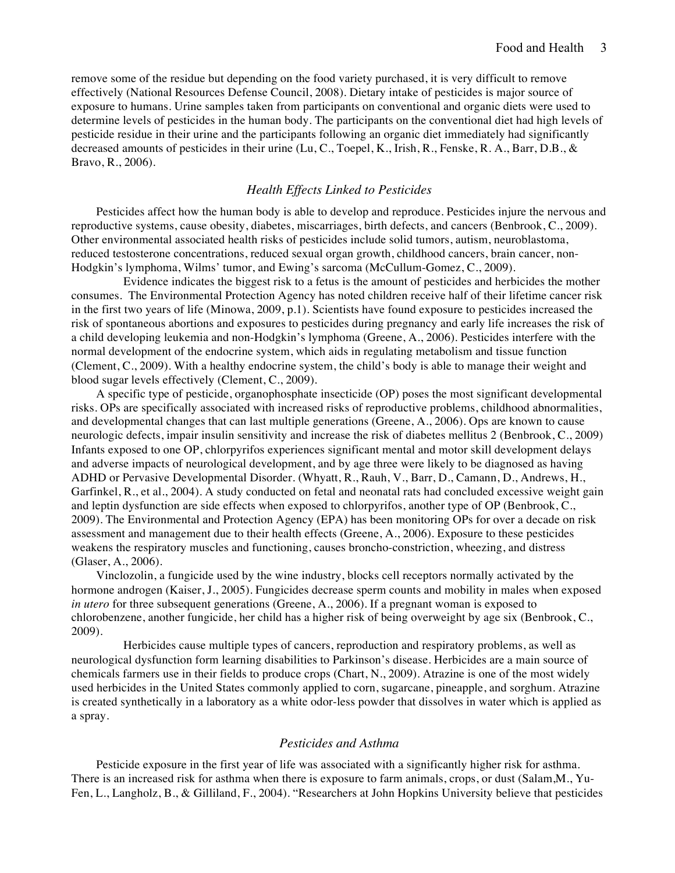remove some of the residue but depending on the food variety purchased, it is very difficult to remove effectively (National Resources Defense Council, 2008). Dietary intake of pesticides is major source of exposure to humans. Urine samples taken from participants on conventional and organic diets were used to determine levels of pesticides in the human body. The participants on the conventional diet had high levels of pesticide residue in their urine and the participants following an organic diet immediately had significantly decreased amounts of pesticides in their urine (Lu, C., Toepel, K., Irish, R., Fenske, R. A., Barr, D.B., & Bravo, R., 2006).

# *Health Effects Linked to Pesticides*

Pesticides affect how the human body is able to develop and reproduce. Pesticides injure the nervous and reproductive systems, cause obesity, diabetes, miscarriages, birth defects, and cancers (Benbrook, C., 2009). Other environmental associated health risks of pesticides include solid tumors, autism, neuroblastoma, reduced testosterone concentrations, reduced sexual organ growth, childhood cancers, brain cancer, non-Hodgkin's lymphoma, Wilms' tumor, and Ewing's sarcoma (McCullum-Gomez, C., 2009).

 Evidence indicates the biggest risk to a fetus is the amount of pesticides and herbicides the mother consumes. The Environmental Protection Agency has noted children receive half of their lifetime cancer risk in the first two years of life (Minowa, 2009, p.1). Scientists have found exposure to pesticides increased the risk of spontaneous abortions and exposures to pesticides during pregnancy and early life increases the risk of a child developing leukemia and non-Hodgkin's lymphoma (Greene, A., 2006). Pesticides interfere with the normal development of the endocrine system, which aids in regulating metabolism and tissue function (Clement, C., 2009). With a healthy endocrine system, the child's body is able to manage their weight and blood sugar levels effectively (Clement, C., 2009).

A specific type of pesticide, organophosphate insecticide (OP) poses the most significant developmental risks. OPs are specifically associated with increased risks of reproductive problems, childhood abnormalities, and developmental changes that can last multiple generations (Greene, A., 2006). Ops are known to cause neurologic defects, impair insulin sensitivity and increase the risk of diabetes mellitus 2 (Benbrook, C., 2009) Infants exposed to one OP, chlorpyrifos experiences significant mental and motor skill development delays and adverse impacts of neurological development, and by age three were likely to be diagnosed as having ADHD or Pervasive Developmental Disorder. (Whyatt, R., Rauh, V., Barr, D., Camann, D., Andrews, H., Garfinkel, R., et al., 2004). A study conducted on fetal and neonatal rats had concluded excessive weight gain and leptin dysfunction are side effects when exposed to chlorpyrifos, another type of OP (Benbrook, C., 2009). The Environmental and Protection Agency (EPA) has been monitoring OPs for over a decade on risk assessment and management due to their health effects (Greene, A., 2006). Exposure to these pesticides weakens the respiratory muscles and functioning, causes broncho-constriction, wheezing, and distress (Glaser, A., 2006).

Vinclozolin, a fungicide used by the wine industry, blocks cell receptors normally activated by the hormone androgen (Kaiser, J., 2005). Fungicides decrease sperm counts and mobility in males when exposed *in utero* for three subsequent generations (Greene, A., 2006). If a pregnant woman is exposed to chlorobenzene, another fungicide, her child has a higher risk of being overweight by age six (Benbrook, C., 2009).

 Herbicides cause multiple types of cancers, reproduction and respiratory problems, as well as neurological dysfunction form learning disabilities to Parkinson's disease. Herbicides are a main source of chemicals farmers use in their fields to produce crops (Chart, N., 2009). Atrazine is one of the most widely used herbicides in the United States commonly applied to corn, sugarcane, pineapple, and sorghum. Atrazine is created synthetically in a laboratory as a white odor-less powder that dissolves in water which is applied as a spray.

# *Pesticides and Asthma*

Pesticide exposure in the first year of life was associated with a significantly higher risk for asthma. There is an increased risk for asthma when there is exposure to farm animals, crops, or dust (Salam,M., Yu-Fen, L., Langholz, B., & Gilliland, F., 2004). "Researchers at John Hopkins University believe that pesticides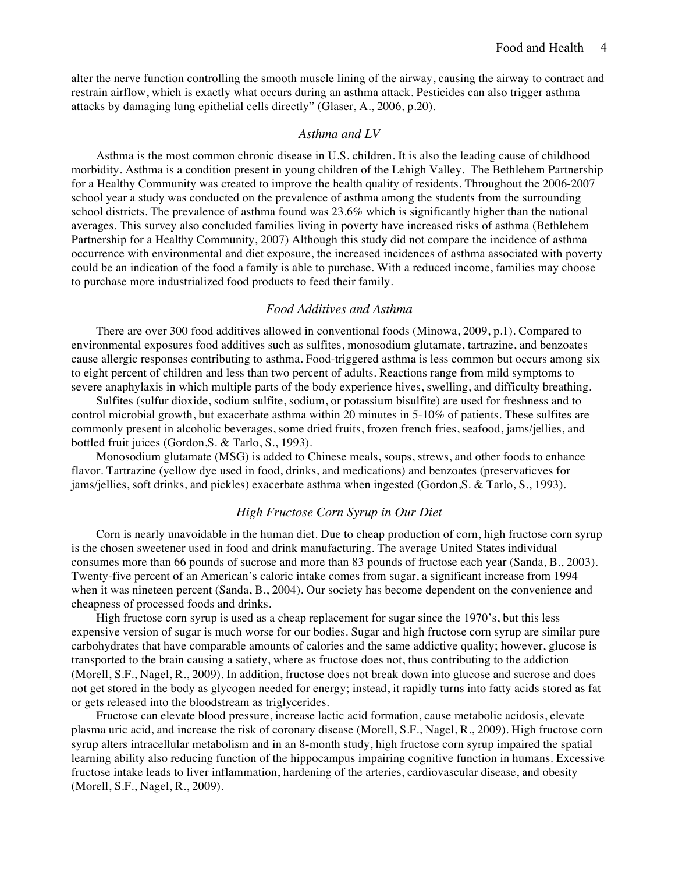alter the nerve function controlling the smooth muscle lining of the airway, causing the airway to contract and restrain airflow, which is exactly what occurs during an asthma attack. Pesticides can also trigger asthma attacks by damaging lung epithelial cells directly" (Glaser, A., 2006, p.20).

## *Asthma and LV*

Asthma is the most common chronic disease in U.S. children. It is also the leading cause of childhood morbidity. Asthma is a condition present in young children of the Lehigh Valley. The Bethlehem Partnership for a Healthy Community was created to improve the health quality of residents. Throughout the 2006-2007 school year a study was conducted on the prevalence of asthma among the students from the surrounding school districts. The prevalence of asthma found was 23.6% which is significantly higher than the national averages. This survey also concluded families living in poverty have increased risks of asthma (Bethlehem Partnership for a Healthy Community, 2007) Although this study did not compare the incidence of asthma occurrence with environmental and diet exposure, the increased incidences of asthma associated with poverty could be an indication of the food a family is able to purchase. With a reduced income, families may choose to purchase more industrialized food products to feed their family.

# *Food Additives and Asthma*

There are over 300 food additives allowed in conventional foods (Minowa, 2009, p.1). Compared to environmental exposures food additives such as sulfites, monosodium glutamate, tartrazine, and benzoates cause allergic responses contributing to asthma. Food-triggered asthma is less common but occurs among six to eight percent of children and less than two percent of adults. Reactions range from mild symptoms to severe anaphylaxis in which multiple parts of the body experience hives, swelling, and difficulty breathing.

Sulfites (sulfur dioxide, sodium sulfite, sodium, or potassium bisulfite) are used for freshness and to control microbial growth, but exacerbate asthma within 20 minutes in 5-10% of patients. These sulfites are commonly present in alcoholic beverages, some dried fruits, frozen french fries, seafood, jams/jellies, and bottled fruit juices (Gordon,S. & Tarlo, S., 1993).

Monosodium glutamate (MSG) is added to Chinese meals, soups, strews, and other foods to enhance flavor. Tartrazine (yellow dye used in food, drinks, and medications) and benzoates (preservaticves for jams/jellies, soft drinks, and pickles) exacerbate asthma when ingested (Gordon,S. & Tarlo, S., 1993).

# *High Fructose Corn Syrup in Our Diet*

Corn is nearly unavoidable in the human diet. Due to cheap production of corn, high fructose corn syrup is the chosen sweetener used in food and drink manufacturing. The average United States individual consumes more than 66 pounds of sucrose and more than 83 pounds of fructose each year (Sanda, B., 2003). Twenty-five percent of an American's caloric intake comes from sugar, a significant increase from 1994 when it was nineteen percent (Sanda, B., 2004). Our society has become dependent on the convenience and cheapness of processed foods and drinks.

High fructose corn syrup is used as a cheap replacement for sugar since the 1970's, but this less expensive version of sugar is much worse for our bodies. Sugar and high fructose corn syrup are similar pure carbohydrates that have comparable amounts of calories and the same addictive quality; however, glucose is transported to the brain causing a satiety, where as fructose does not, thus contributing to the addiction (Morell, S.F., Nagel, R., 2009). In addition, fructose does not break down into glucose and sucrose and does not get stored in the body as glycogen needed for energy; instead, it rapidly turns into fatty acids stored as fat or gets released into the bloodstream as triglycerides.

Fructose can elevate blood pressure, increase lactic acid formation, cause metabolic acidosis, elevate plasma uric acid, and increase the risk of coronary disease (Morell, S.F., Nagel, R., 2009). High fructose corn syrup alters intracellular metabolism and in an 8-month study, high fructose corn syrup impaired the spatial learning ability also reducing function of the hippocampus impairing cognitive function in humans. Excessive fructose intake leads to liver inflammation, hardening of the arteries, cardiovascular disease, and obesity (Morell, S.F., Nagel, R., 2009).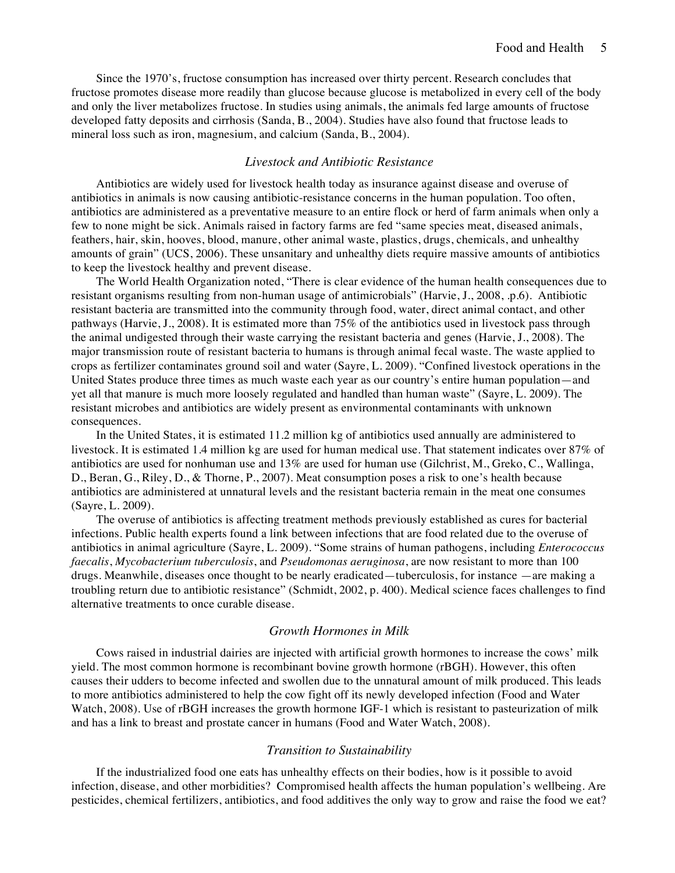Since the 1970's, fructose consumption has increased over thirty percent. Research concludes that fructose promotes disease more readily than glucose because glucose is metabolized in every cell of the body and only the liver metabolizes fructose. In studies using animals, the animals fed large amounts of fructose developed fatty deposits and cirrhosis (Sanda, B., 2004). Studies have also found that fructose leads to mineral loss such as iron, magnesium, and calcium (Sanda, B., 2004).

#### *Livestock and Antibiotic Resistance*

Antibiotics are widely used for livestock health today as insurance against disease and overuse of antibiotics in animals is now causing antibiotic-resistance concerns in the human population. Too often, antibiotics are administered as a preventative measure to an entire flock or herd of farm animals when only a few to none might be sick. Animals raised in factory farms are fed "same species meat, diseased animals, feathers, hair, skin, hooves, blood, manure, other animal waste, plastics, drugs, chemicals, and unhealthy amounts of grain" (UCS, 2006). These unsanitary and unhealthy diets require massive amounts of antibiotics to keep the livestock healthy and prevent disease.

The World Health Organization noted, "There is clear evidence of the human health consequences due to resistant organisms resulting from non-human usage of antimicrobials" (Harvie, J., 2008, .p.6). Antibiotic resistant bacteria are transmitted into the community through food, water, direct animal contact, and other pathways (Harvie, J., 2008). It is estimated more than 75% of the antibiotics used in livestock pass through the animal undigested through their waste carrying the resistant bacteria and genes (Harvie, J., 2008). The major transmission route of resistant bacteria to humans is through animal fecal waste. The waste applied to crops as fertilizer contaminates ground soil and water (Sayre, L. 2009). "Confined livestock operations in the United States produce three times as much waste each year as our country's entire human population—and yet all that manure is much more loosely regulated and handled than human waste" (Sayre, L. 2009). The resistant microbes and antibiotics are widely present as environmental contaminants with unknown consequences.

In the United States, it is estimated 11.2 million kg of antibiotics used annually are administered to livestock. It is estimated 1.4 million kg are used for human medical use. That statement indicates over 87% of antibiotics are used for nonhuman use and 13% are used for human use (Gilchrist, M., Greko, C., Wallinga, D., Beran, G., Riley, D., & Thorne, P., 2007). Meat consumption poses a risk to one's health because antibiotics are administered at unnatural levels and the resistant bacteria remain in the meat one consumes (Sayre, L. 2009).

The overuse of antibiotics is affecting treatment methods previously established as cures for bacterial infections. Public health experts found a link between infections that are food related due to the overuse of antibiotics in animal agriculture (Sayre, L. 2009). "Some strains of human pathogens, including *Enterococcus faecalis*, *Mycobacterium tuberculosis*, and *Pseudomonas aeruginosa*, are now resistant to more than 100 drugs. Meanwhile, diseases once thought to be nearly eradicated—tuberculosis, for instance —are making a troubling return due to antibiotic resistance" (Schmidt, 2002, p. 400). Medical science faces challenges to find alternative treatments to once curable disease.

## *Growth Hormones in Milk*

Cows raised in industrial dairies are injected with artificial growth hormones to increase the cows' milk yield. The most common hormone is recombinant bovine growth hormone (rBGH). However, this often causes their udders to become infected and swollen due to the unnatural amount of milk produced. This leads to more antibiotics administered to help the cow fight off its newly developed infection (Food and Water Watch, 2008). Use of rBGH increases the growth hormone IGF-1 which is resistant to pasteurization of milk and has a link to breast and prostate cancer in humans (Food and Water Watch, 2008).

## *Transition to Sustainability*

If the industrialized food one eats has unhealthy effects on their bodies, how is it possible to avoid infection, disease, and other morbidities? Compromised health affects the human population's wellbeing. Are pesticides, chemical fertilizers, antibiotics, and food additives the only way to grow and raise the food we eat?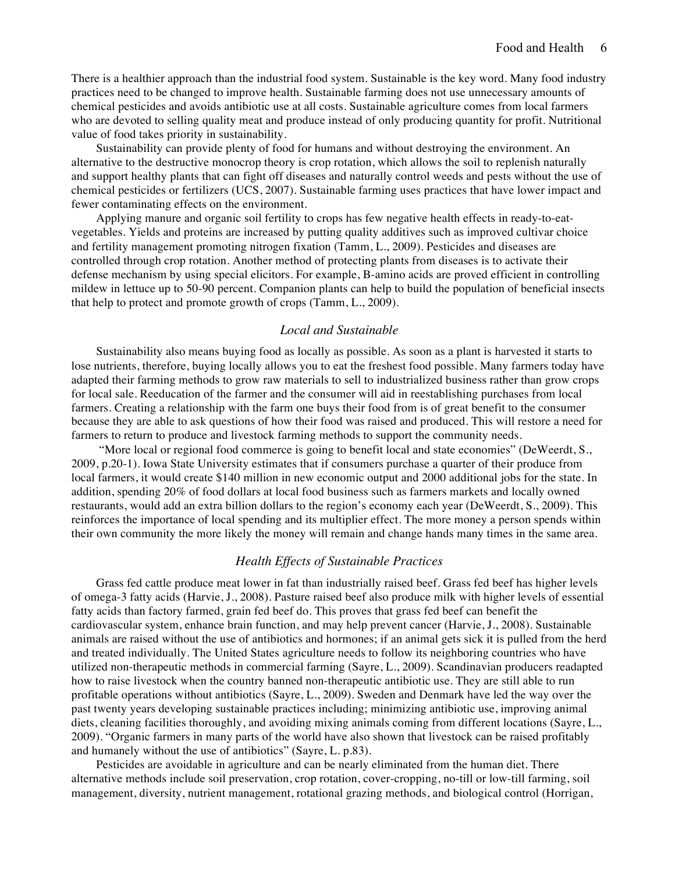There is a healthier approach than the industrial food system. Sustainable is the key word. Many food industry practices need to be changed to improve health. Sustainable farming does not use unnecessary amounts of chemical pesticides and avoids antibiotic use at all costs. Sustainable agriculture comes from local farmers who are devoted to selling quality meat and produce instead of only producing quantity for profit. Nutritional value of food takes priority in sustainability.

Sustainability can provide plenty of food for humans and without destroying the environment. An alternative to the destructive monocrop theory is crop rotation, which allows the soil to replenish naturally and support healthy plants that can fight off diseases and naturally control weeds and pests without the use of chemical pesticides or fertilizers (UCS, 2007). Sustainable farming uses practices that have lower impact and fewer contaminating effects on the environment.

Applying manure and organic soil fertility to crops has few negative health effects in ready-to-eatvegetables. Yields and proteins are increased by putting quality additives such as improved cultivar choice and fertility management promoting nitrogen fixation (Tamm, L., 2009). Pesticides and diseases are controlled through crop rotation. Another method of protecting plants from diseases is to activate their defense mechanism by using special elicitors. For example, B-amino acids are proved efficient in controlling mildew in lettuce up to 50-90 percent. Companion plants can help to build the population of beneficial insects that help to protect and promote growth of crops (Tamm, L., 2009).

# *Local and Sustainable*

Sustainability also means buying food as locally as possible. As soon as a plant is harvested it starts to lose nutrients, therefore, buying locally allows you to eat the freshest food possible. Many farmers today have adapted their farming methods to grow raw materials to sell to industrialized business rather than grow crops for local sale. Reeducation of the farmer and the consumer will aid in reestablishing purchases from local farmers. Creating a relationship with the farm one buys their food from is of great benefit to the consumer because they are able to ask questions of how their food was raised and produced. This will restore a need for farmers to return to produce and livestock farming methods to support the community needs.

 "More local or regional food commerce is going to benefit local and state economies" (DeWeerdt, S., 2009, p.20-1). Iowa State University estimates that if consumers purchase a quarter of their produce from local farmers, it would create \$140 million in new economic output and 2000 additional jobs for the state. In addition, spending 20% of food dollars at local food business such as farmers markets and locally owned restaurants, would add an extra billion dollars to the region's economy each year (DeWeerdt, S., 2009). This reinforces the importance of local spending and its multiplier effect. The more money a person spends within their own community the more likely the money will remain and change hands many times in the same area.

## *Health Effects of Sustainable Practices*

Grass fed cattle produce meat lower in fat than industrially raised beef. Grass fed beef has higher levels of omega-3 fatty acids (Harvie, J., 2008). Pasture raised beef also produce milk with higher levels of essential fatty acids than factory farmed, grain fed beef do. This proves that grass fed beef can benefit the cardiovascular system, enhance brain function, and may help prevent cancer (Harvie, J., 2008). Sustainable animals are raised without the use of antibiotics and hormones; if an animal gets sick it is pulled from the herd and treated individually. The United States agriculture needs to follow its neighboring countries who have utilized non-therapeutic methods in commercial farming (Sayre, L., 2009). Scandinavian producers readapted how to raise livestock when the country banned non-therapeutic antibiotic use. They are still able to run profitable operations without antibiotics (Sayre, L., 2009). Sweden and Denmark have led the way over the past twenty years developing sustainable practices including; minimizing antibiotic use, improving animal diets, cleaning facilities thoroughly, and avoiding mixing animals coming from different locations (Sayre, L., 2009). "Organic farmers in many parts of the world have also shown that livestock can be raised profitably and humanely without the use of antibiotics" (Sayre, L. p.83).

Pesticides are avoidable in agriculture and can be nearly eliminated from the human diet. There alternative methods include soil preservation, crop rotation, cover-cropping, no-till or low-till farming, soil management, diversity, nutrient management, rotational grazing methods, and biological control (Horrigan,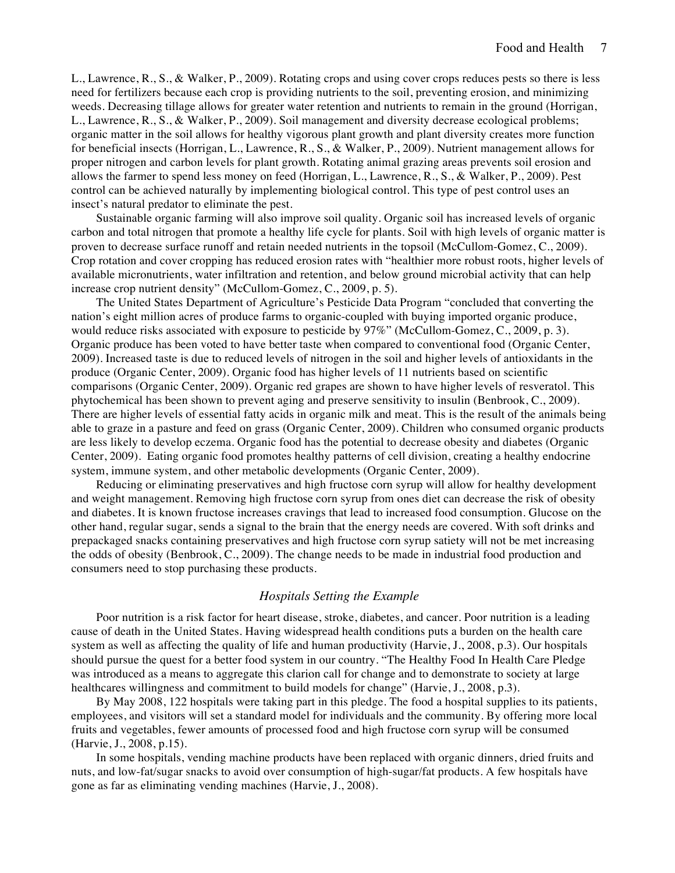L., Lawrence, R., S., & Walker, P., 2009). Rotating crops and using cover crops reduces pests so there is less need for fertilizers because each crop is providing nutrients to the soil, preventing erosion, and minimizing weeds. Decreasing tillage allows for greater water retention and nutrients to remain in the ground (Horrigan, L., Lawrence, R., S., & Walker, P., 2009). Soil management and diversity decrease ecological problems; organic matter in the soil allows for healthy vigorous plant growth and plant diversity creates more function for beneficial insects (Horrigan, L., Lawrence, R., S., & Walker, P., 2009). Nutrient management allows for proper nitrogen and carbon levels for plant growth. Rotating animal grazing areas prevents soil erosion and allows the farmer to spend less money on feed (Horrigan, L., Lawrence, R., S., & Walker, P., 2009). Pest control can be achieved naturally by implementing biological control. This type of pest control uses an insect's natural predator to eliminate the pest.

Sustainable organic farming will also improve soil quality. Organic soil has increased levels of organic carbon and total nitrogen that promote a healthy life cycle for plants. Soil with high levels of organic matter is proven to decrease surface runoff and retain needed nutrients in the topsoil (McCullom-Gomez, C., 2009). Crop rotation and cover cropping has reduced erosion rates with "healthier more robust roots, higher levels of available micronutrients, water infiltration and retention, and below ground microbial activity that can help increase crop nutrient density" (McCullom-Gomez, C., 2009, p. 5).

The United States Department of Agriculture's Pesticide Data Program "concluded that converting the nation's eight million acres of produce farms to organic-coupled with buying imported organic produce, would reduce risks associated with exposure to pesticide by 97%" (McCullom-Gomez, C., 2009, p. 3). Organic produce has been voted to have better taste when compared to conventional food (Organic Center, 2009). Increased taste is due to reduced levels of nitrogen in the soil and higher levels of antioxidants in the produce (Organic Center, 2009). Organic food has higher levels of 11 nutrients based on scientific comparisons (Organic Center, 2009). Organic red grapes are shown to have higher levels of resveratol. This phytochemical has been shown to prevent aging and preserve sensitivity to insulin (Benbrook, C., 2009). There are higher levels of essential fatty acids in organic milk and meat. This is the result of the animals being able to graze in a pasture and feed on grass (Organic Center, 2009). Children who consumed organic products are less likely to develop eczema. Organic food has the potential to decrease obesity and diabetes (Organic Center, 2009). Eating organic food promotes healthy patterns of cell division, creating a healthy endocrine system, immune system, and other metabolic developments (Organic Center, 2009).

Reducing or eliminating preservatives and high fructose corn syrup will allow for healthy development and weight management. Removing high fructose corn syrup from ones diet can decrease the risk of obesity and diabetes. It is known fructose increases cravings that lead to increased food consumption. Glucose on the other hand, regular sugar, sends a signal to the brain that the energy needs are covered. With soft drinks and prepackaged snacks containing preservatives and high fructose corn syrup satiety will not be met increasing the odds of obesity (Benbrook, C., 2009). The change needs to be made in industrial food production and consumers need to stop purchasing these products.

# *Hospitals Setting the Example*

Poor nutrition is a risk factor for heart disease, stroke, diabetes, and cancer. Poor nutrition is a leading cause of death in the United States. Having widespread health conditions puts a burden on the health care system as well as affecting the quality of life and human productivity (Harvie, J., 2008, p.3). Our hospitals should pursue the quest for a better food system in our country. "The Healthy Food In Health Care Pledge was introduced as a means to aggregate this clarion call for change and to demonstrate to society at large healthcares willingness and commitment to build models for change" (Harvie, J., 2008, p.3).

By May 2008, 122 hospitals were taking part in this pledge. The food a hospital supplies to its patients, employees, and visitors will set a standard model for individuals and the community. By offering more local fruits and vegetables, fewer amounts of processed food and high fructose corn syrup will be consumed (Harvie, J., 2008, p.15).

In some hospitals, vending machine products have been replaced with organic dinners, dried fruits and nuts, and low-fat/sugar snacks to avoid over consumption of high-sugar/fat products. A few hospitals have gone as far as eliminating vending machines (Harvie, J., 2008).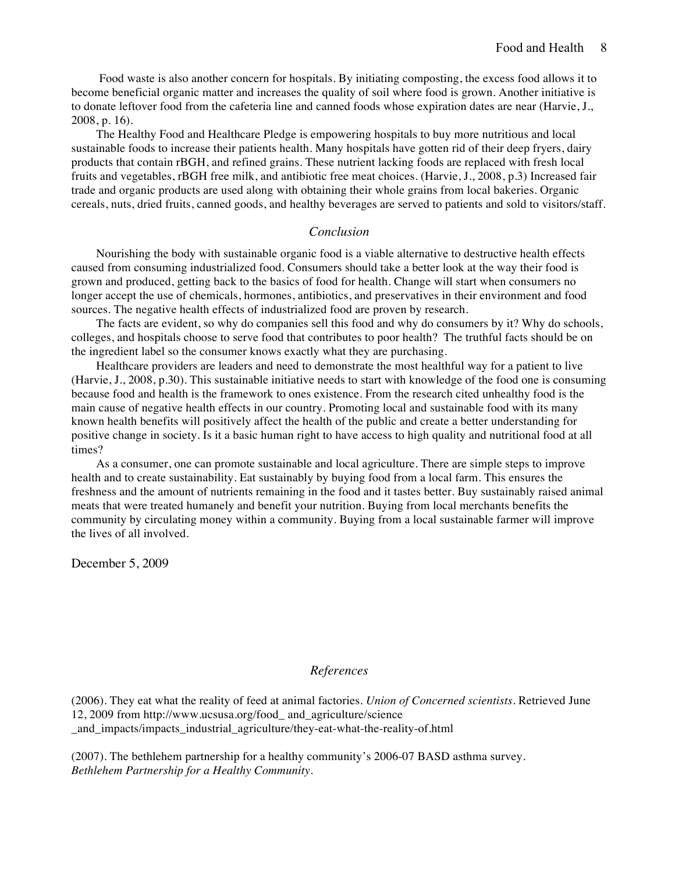Food waste is also another concern for hospitals. By initiating composting, the excess food allows it to become beneficial organic matter and increases the quality of soil where food is grown. Another initiative is to donate leftover food from the cafeteria line and canned foods whose expiration dates are near (Harvie, J., 2008, p. 16).

The Healthy Food and Healthcare Pledge is empowering hospitals to buy more nutritious and local sustainable foods to increase their patients health. Many hospitals have gotten rid of their deep fryers, dairy products that contain rBGH, and refined grains. These nutrient lacking foods are replaced with fresh local fruits and vegetables, rBGH free milk, and antibiotic free meat choices. (Harvie, J., 2008, p.3) Increased fair trade and organic products are used along with obtaining their whole grains from local bakeries. Organic cereals, nuts, dried fruits, canned goods, and healthy beverages are served to patients and sold to visitors/staff.

# *Conclusion*

Nourishing the body with sustainable organic food is a viable alternative to destructive health effects caused from consuming industrialized food. Consumers should take a better look at the way their food is grown and produced, getting back to the basics of food for health. Change will start when consumers no longer accept the use of chemicals, hormones, antibiotics, and preservatives in their environment and food sources. The negative health effects of industrialized food are proven by research.

The facts are evident, so why do companies sell this food and why do consumers by it? Why do schools, colleges, and hospitals choose to serve food that contributes to poor health? The truthful facts should be on the ingredient label so the consumer knows exactly what they are purchasing.

Healthcare providers are leaders and need to demonstrate the most healthful way for a patient to live (Harvie, J., 2008, p.30). This sustainable initiative needs to start with knowledge of the food one is consuming because food and health is the framework to ones existence. From the research cited unhealthy food is the main cause of negative health effects in our country. Promoting local and sustainable food with its many known health benefits will positively affect the health of the public and create a better understanding for positive change in society. Is it a basic human right to have access to high quality and nutritional food at all times?

As a consumer, one can promote sustainable and local agriculture. There are simple steps to improve health and to create sustainability. Eat sustainably by buying food from a local farm. This ensures the freshness and the amount of nutrients remaining in the food and it tastes better. Buy sustainably raised animal meats that were treated humanely and benefit your nutrition. Buying from local merchants benefits the community by circulating money within a community. Buying from a local sustainable farmer will improve the lives of all involved.

December 5, 2009

# *References*

(2006). They eat what the reality of feed at animal factories. *Union of Concerned scientists.* Retrieved June 12, 2009 from http://www.ucsusa.org/food\_ and\_agriculture/science and impacts/impacts industrial agriculture/they-eat-what-the-reality-of.html

(2007). The bethlehem partnership for a healthy community's 2006-07 BASD asthma survey. *Bethlehem Partnership for a Healthy Community.*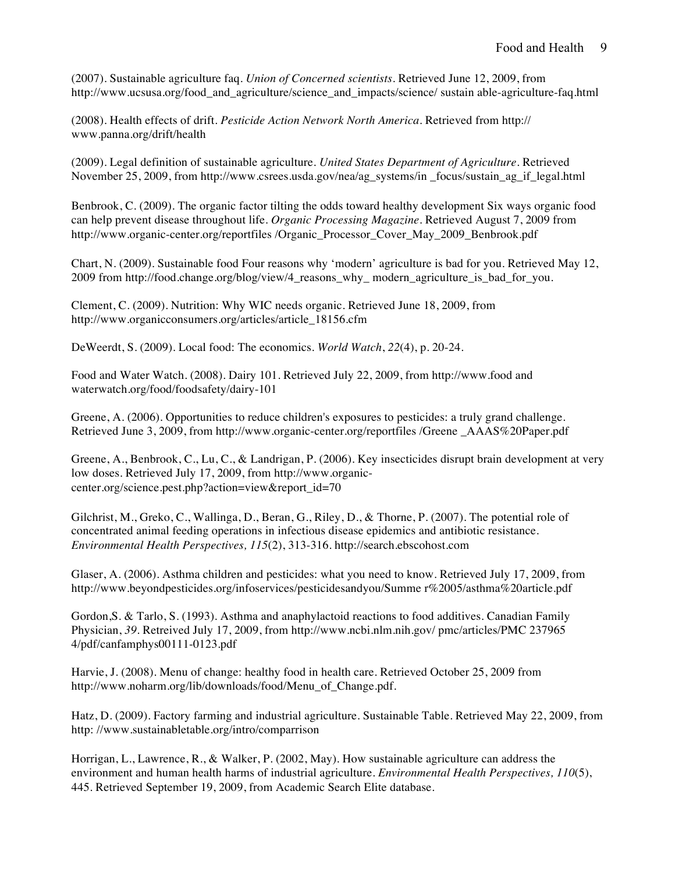(2007). Sustainable agriculture faq. *Union of Concerned scientists.* Retrieved June 12, 2009, from http://www.ucsusa.org/food\_and\_agriculture/science\_and\_impacts/science/ sustain able-agriculture-faq.html

(2008). Health effects of drift. *Pesticide Action Network North America*. Retrieved from http:// www.panna.org/drift/health

(2009). Legal definition of sustainable agriculture. *United States Department of Agriculture.* Retrieved November 25, 2009, from http://www.csrees.usda.gov/nea/ag\_systems/in \_focus/sustain\_ag\_if\_legal.html

Benbrook, C. (2009). The organic factor tilting the odds toward healthy development Six ways organic food can help prevent disease throughout life. *Organic Processing Magazine.* Retrieved August 7, 2009 from http://www.organic-center.org/reportfiles /Organic\_Processor\_Cover\_May\_2009\_Benbrook.pdf

Chart, N. (2009). Sustainable food Four reasons why 'modern' agriculture is bad for you. Retrieved May 12, 2009 from http://food.change.org/blog/view/4\_reasons\_why\_ modern\_agriculture\_is\_bad\_for\_you.

Clement, C. (2009). Nutrition: Why WIC needs organic. Retrieved June 18, 2009, from http://www.organicconsumers.org/articles/article\_18156.cfm

DeWeerdt, S. (2009). Local food: The economics. *World Watch*, *22*(4), p. 20-24.

Food and Water Watch. (2008). Dairy 101. Retrieved July 22, 2009, from http://www.food and waterwatch.org/food/foodsafety/dairy-101

Greene, A. (2006). Opportunities to reduce children's exposures to pesticides: a truly grand challenge. Retrieved June 3, 2009, from http://www.organic-center.org/reportfiles /Greene \_AAAS%20Paper.pdf

Greene, A., Benbrook, C., Lu, C., & Landrigan, P. (2006). Key insecticides disrupt brain development at very low doses. Retrieved July 17, 2009, from http://www.organiccenter.org/science.pest.php?action=view&report\_id=70

Gilchrist, M., Greko, C., Wallinga, D., Beran, G., Riley, D., & Thorne, P. (2007). The potential role of concentrated animal feeding operations in infectious disease epidemics and antibiotic resistance. *Environmental Health Perspectives, 115*(2), 313-316. http://search.ebscohost.com

Glaser, A. (2006). Asthma children and pesticides: what you need to know. Retrieved July 17, 2009, from http://www.beyondpesticides.org/infoservices/pesticidesandyou/Summe r%2005/asthma%20article.pdf

Gordon,S. & Tarlo, S. (1993). Asthma and anaphylactoid reactions to food additives. Canadian Family Physician, *39.* Retreived July 17, 2009, from http://www.ncbi.nlm.nih.gov/ pmc/articles/PMC 237965 4/pdf/canfamphys00111-0123.pdf

Harvie, J. (2008). Menu of change: healthy food in health care. Retrieved October 25, 2009 from http://www.noharm.org/lib/downloads/food/Menu\_of\_Change.pdf.

Hatz, D. (2009). Factory farming and industrial agriculture. Sustainable Table. Retrieved May 22, 2009, from http: //www.sustainabletable.org/intro/comparrison

Horrigan, L., Lawrence, R., & Walker, P. (2002, May). How sustainable agriculture can address the environment and human health harms of industrial agriculture. *Environmental Health Perspectives, 110*(5), 445. Retrieved September 19, 2009, from Academic Search Elite database.